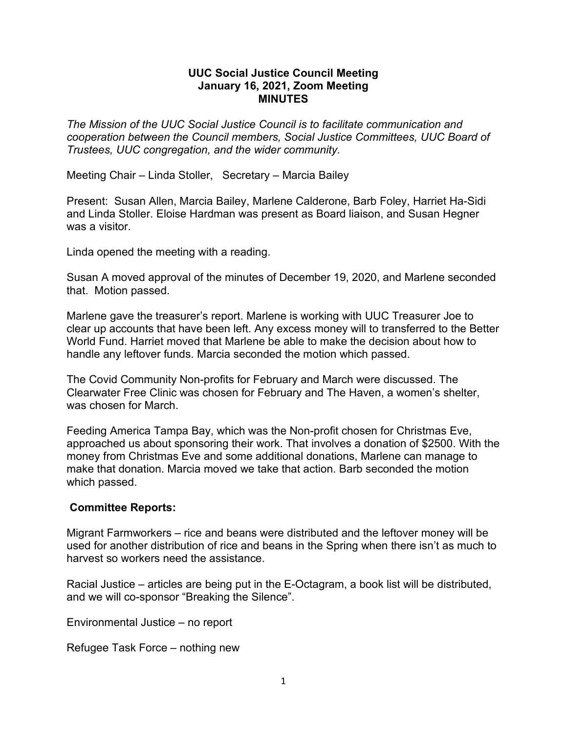## **UUC Social Justice Council Meeting January 16, 2021, Zoom Meeting MINUTES**

*The Mission of the UUC Social Justice Council is to facilitate communication and cooperation between the Council members, Social Justice Committees, UUC Board of Trustees, UUC congregation, and the wider community.*

Meeting Chair – Linda Stoller, Secretary – Marcia Bailey

Present: Susan Allen, Marcia Bailey, Marlene Calderone, Barb Foley, Harriet Ha-Sidi and Linda Stoller. Eloise Hardman was present as Board liaison, and Susan Hegner was a visitor.

Linda opened the meeting with a reading.

Susan A moved approval of the minutes of December 19, 2020, and Marlene seconded that. Motion passed.

Marlene gave the treasurer's report. Marlene is working with UUC Treasurer Joe to clear up accounts that have been left. Any excess money will to transferred to the Better World Fund. Harriet moved that Marlene be able to make the decision about how to handle any leftover funds. Marcia seconded the motion which passed.

The Covid Community Non-profits for February and March were discussed. The Clearwater Free Clinic was chosen for February and The Haven, a women's shelter, was chosen for March.

Feeding America Tampa Bay, which was the Non-profit chosen for Christmas Eve, approached us about sponsoring their work. That involves a donation of \$2500. With the money from Christmas Eve and some additional donations, Marlene can manage to make that donation. Marcia moved we take that action. Barb seconded the motion which passed.

## **Committee Reports:**

Migrant Farmworkers – rice and beans were distributed and the leftover money will be used for another distribution of rice and beans in the Spring when there isn't as much to harvest so workers need the assistance.

Racial Justice – articles are being put in the E-Octagram, a book list will be distributed, and we will co-sponsor "Breaking the Silence".

Environmental Justice – no report

Refugee Task Force – nothing new